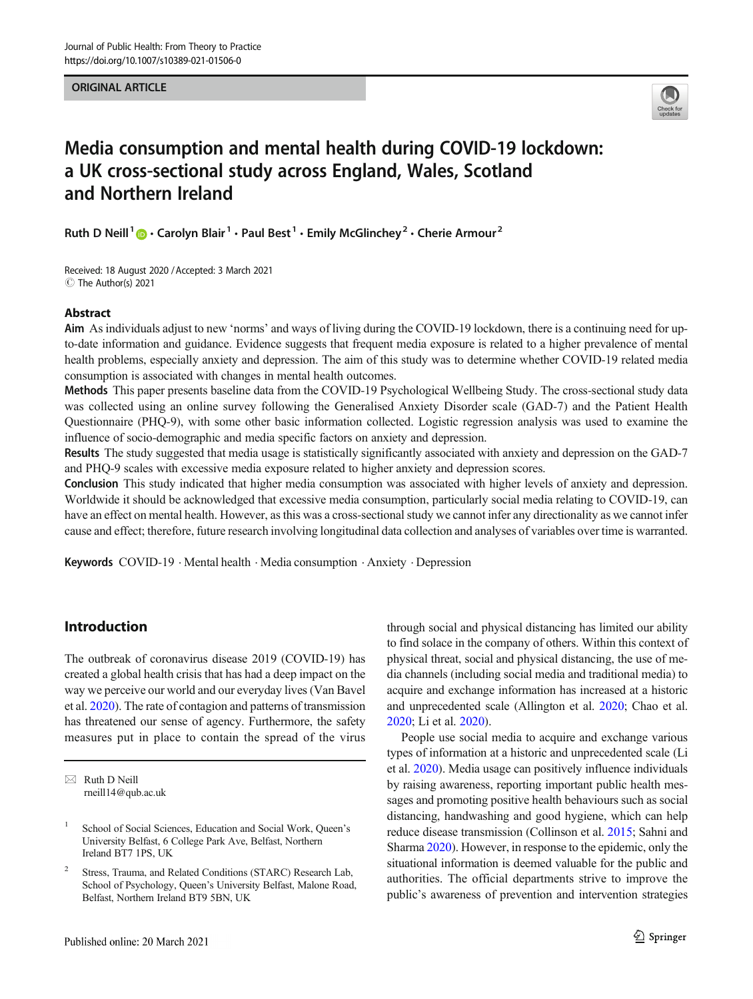ORIGINAL ARTICLE



# Media consumption and mental health during COVID-19 lockdown: a UK cross-sectional study across England, Wales, Scotland and Northern Ireland

Ruth D Neill<sup>1</sup>  $\cdot$  Carolyn Blair<sup>1</sup>  $\cdot$  Paul Best<sup>1</sup>  $\cdot$  Emily McGlinchey<sup>2</sup>  $\cdot$  Cherie Armour<sup>2</sup>

Received: 18 August 2020 /Accepted: 3 March 2021  $\circledcirc$  The Author(s) 2021

## Abstract

Aim As individuals adjust to new 'norms' and ways of living during the COVID-19 lockdown, there is a continuing need for upto-date information and guidance. Evidence suggests that frequent media exposure is related to a higher prevalence of mental health problems, especially anxiety and depression. The aim of this study was to determine whether COVID-19 related media consumption is associated with changes in mental health outcomes.

Methods This paper presents baseline data from the COVID-19 Psychological Wellbeing Study. The cross-sectional study data was collected using an online survey following the Generalised Anxiety Disorder scale (GAD-7) and the Patient Health Questionnaire (PHQ-9), with some other basic information collected. Logistic regression analysis was used to examine the influence of socio-demographic and media specific factors on anxiety and depression.

Results The study suggested that media usage is statistically significantly associated with anxiety and depression on the GAD-7 and PHQ-9 scales with excessive media exposure related to higher anxiety and depression scores.

Conclusion This study indicated that higher media consumption was associated with higher levels of anxiety and depression. Worldwide it should be acknowledged that excessive media consumption, particularly social media relating to COVID-19, can have an effect on mental health. However, as this was a cross-sectional study we cannot infer any directionality as we cannot infer cause and effect; therefore, future research involving longitudinal data collection and analyses of variables over time is warranted.

**Keywords** COVID-19  $\cdot$  Mental health  $\cdot$  Media consumption  $\cdot$  Anxiety  $\cdot$  Depression

# Introduction

The outbreak of coronavirus disease 2019 (COVID-19) has created a global health crisis that has had a deep impact on the way we perceive our world and our everyday lives (Van Bavel et al. [2020\)](#page-8-0). The rate of contagion and patterns of transmission has threatened our sense of agency. Furthermore, the safety measures put in place to contain the spread of the virus

 $\boxtimes$  Ruth D Neill [rneill14@qub.ac.uk](mailto:rneill14@qub.ac.uk) through social and physical distancing has limited our ability to find solace in the company of others. Within this context of physical threat, social and physical distancing, the use of media channels (including social media and traditional media) to acquire and exchange information has increased at a historic and unprecedented scale (Allington et al. [2020;](#page-7-0) Chao et al. [2020;](#page-7-0) Li et al. [2020](#page-7-0)).

People use social media to acquire and exchange various types of information at a historic and unprecedented scale (Li et al. [2020\)](#page-7-0). Media usage can positively influence individuals by raising awareness, reporting important public health messages and promoting positive health behaviours such as social distancing, handwashing and good hygiene, which can help reduce disease transmission (Collinson et al. [2015](#page-7-0); Sahni and Sharma [2020](#page-7-0)). However, in response to the epidemic, only the situational information is deemed valuable for the public and authorities. The official departments strive to improve the public's awareness of prevention and intervention strategies

School of Social Sciences, Education and Social Work, Queen's University Belfast, 6 College Park Ave, Belfast, Northern Ireland BT7 1PS, UK

Stress, Trauma, and Related Conditions (STARC) Research Lab, School of Psychology, Queen's University Belfast, Malone Road, Belfast, Northern Ireland BT9 5BN, UK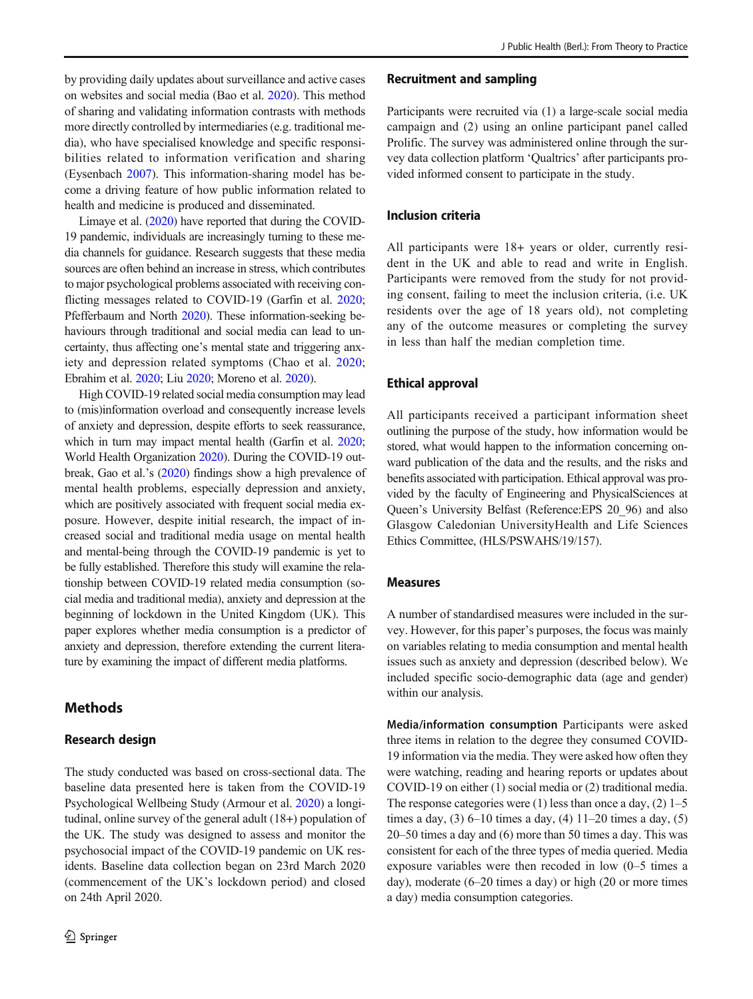by providing daily updates about surveillance and active cases on websites and social media (Bao et al. [2020](#page-7-0)). This method of sharing and validating information contrasts with methods more directly controlled by intermediaries (e.g. traditional media), who have specialised knowledge and specific responsibilities related to information verification and sharing (Eysenbach [2007](#page-7-0)). This information-sharing model has become a driving feature of how public information related to health and medicine is produced and disseminated.

Limaye et al. [\(2020](#page-7-0)) have reported that during the COVID-19 pandemic, individuals are increasingly turning to these media channels for guidance. Research suggests that these media sources are often behind an increase in stress, which contributes to major psychological problems associated with receiving conflicting messages related to COVID-19 (Garfin et al. [2020](#page-7-0); Pfefferbaum and North [2020\)](#page-7-0). These information-seeking behaviours through traditional and social media can lead to uncertainty, thus affecting one's mental state and triggering anxiety and depression related symptoms (Chao et al. [2020](#page-7-0); Ebrahim et al. [2020](#page-7-0); Liu [2020;](#page-7-0) Moreno et al. [2020\)](#page-7-0).

High COVID-19 related social media consumption may lead to (mis)information overload and consequently increase levels of anxiety and depression, despite efforts to seek reassurance, which in turn may impact mental health (Garfin et al. [2020](#page-7-0); World Health Organization [2020\)](#page-8-0). During the COVID-19 outbreak, Gao et al.'s ([2020\)](#page-7-0) findings show a high prevalence of mental health problems, especially depression and anxiety, which are positively associated with frequent social media exposure. However, despite initial research, the impact of increased social and traditional media usage on mental health and mental-being through the COVID-19 pandemic is yet to be fully established. Therefore this study will examine the relationship between COVID-19 related media consumption (social media and traditional media), anxiety and depression at the beginning of lockdown in the United Kingdom (UK). This paper explores whether media consumption is a predictor of anxiety and depression, therefore extending the current literature by examining the impact of different media platforms.

# Methods

## Research design

The study conducted was based on cross-sectional data. The baseline data presented here is taken from the COVID-19 Psychological Wellbeing Study (Armour et al. [2020](#page-7-0)) a longitudinal, online survey of the general adult (18+) population of the UK. The study was designed to assess and monitor the psychosocial impact of the COVID-19 pandemic on UK residents. Baseline data collection began on 23rd March 2020 (commencement of the UK's lockdown period) and closed on 24th April 2020.

#### Recruitment and sampling

Participants were recruited via (1) a large-scale social media campaign and (2) using an online participant panel called Prolific. The survey was administered online through the survey data collection platform 'Qualtrics' after participants provided informed consent to participate in the study.

# Inclusion criteria

All participants were 18+ years or older, currently resident in the UK and able to read and write in English. Participants were removed from the study for not providing consent, failing to meet the inclusion criteria, (i.e. UK residents over the age of 18 years old), not completing any of the outcome measures or completing the survey in less than half the median completion time.

#### Ethical approval

All participants received a participant information sheet outlining the purpose of the study, how information would be stored, what would happen to the information concerning onward publication of the data and the results, and the risks and benefits associated with participation. Ethical approval was provided by the faculty of Engineering and PhysicalSciences at Queen's University Belfast (Reference:EPS 20\_96) and also Glasgow Caledonian UniversityHealth and Life Sciences Ethics Committee, (HLS/PSWAHS/19/157).

#### Measures

A number of standardised measures were included in the survey. However, for this paper's purposes, the focus was mainly on variables relating to media consumption and mental health issues such as anxiety and depression (described below). We included specific socio-demographic data (age and gender) within our analysis.

Media/information consumption Participants were asked three items in relation to the degree they consumed COVID-19 information via the media. They were asked how often they were watching, reading and hearing reports or updates about COVID-19 on either (1) social media or (2) traditional media. The response categories were  $(1)$  less than once a day,  $(2)$  1–5 times a day,  $(3)$  6–10 times a day,  $(4)$  11–20 times a day,  $(5)$ 20–50 times a day and (6) more than 50 times a day. This was consistent for each of the three types of media queried. Media exposure variables were then recoded in low (0–5 times a day), moderate (6–20 times a day) or high (20 or more times a day) media consumption categories.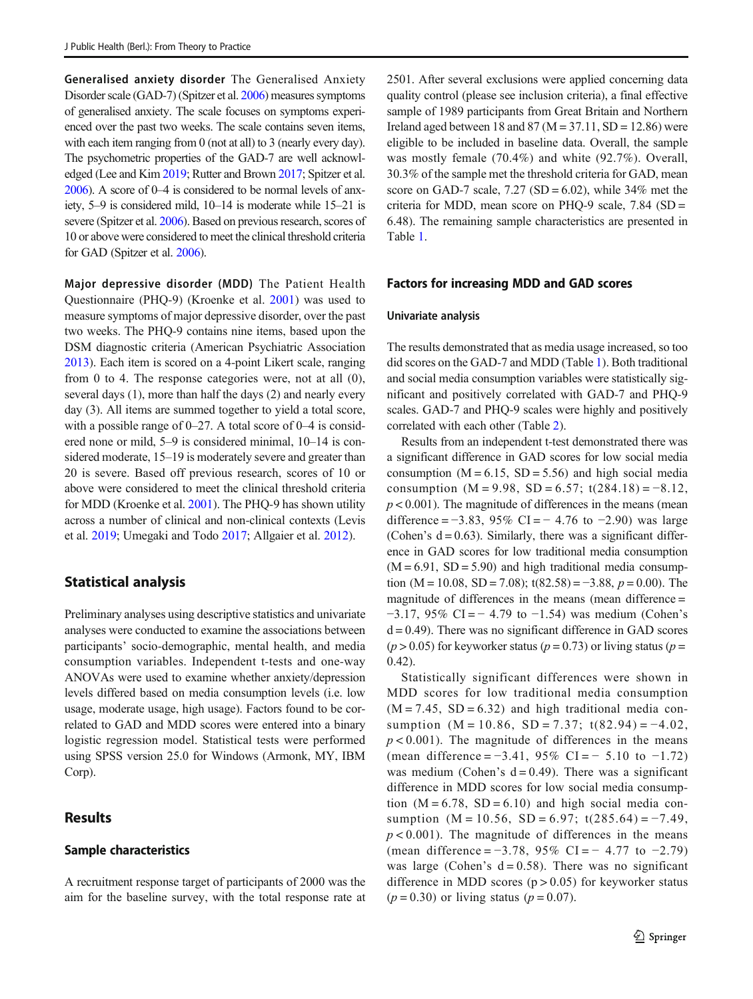Generalised anxiety disorder The Generalised Anxiety Disorder scale (GAD-7) (Spitzer et al. [2006](#page-7-0)) measures symptoms of generalised anxiety. The scale focuses on symptoms experienced over the past two weeks. The scale contains seven items, with each item ranging from 0 (not at all) to 3 (nearly every day). The psychometric properties of the GAD-7 are well acknowledged (Lee and Kim [2019;](#page-7-0) Rutter and Brown [2017](#page-7-0); Spitzer et al. [2006\)](#page-7-0). A score of 0–4 is considered to be normal levels of anxiety, 5–9 is considered mild, 10–14 is moderate while 15–21 is severe (Spitzer et al. [2006\)](#page-7-0). Based on previous research, scores of 10 or above were considered to meet the clinical threshold criteria for GAD (Spitzer et al. [2006](#page-7-0)).

Major depressive disorder (MDD) The Patient Health Questionnaire (PHQ-9) (Kroenke et al. [2001](#page-7-0)) was used to measure symptoms of major depressive disorder, over the past two weeks. The PHQ-9 contains nine items, based upon the DSM diagnostic criteria (American Psychiatric Association [2013\)](#page-7-0). Each item is scored on a 4-point Likert scale, ranging from 0 to 4. The response categories were, not at all (0), several days (1), more than half the days (2) and nearly every day (3). All items are summed together to yield a total score, with a possible range of  $0-27$ . A total score of  $0-4$  is considered none or mild, 5–9 is considered minimal, 10–14 is considered moderate, 15–19 is moderately severe and greater than 20 is severe. Based off previous research, scores of 10 or above were considered to meet the clinical threshold criteria for MDD (Kroenke et al. [2001](#page-7-0)). The PHQ-9 has shown utility across a number of clinical and non-clinical contexts (Levis et al. [2019](#page-7-0); Umegaki and Todo [2017](#page-8-0); Allgaier et al. [2012\)](#page-6-0).

# Statistical analysis

Preliminary analyses using descriptive statistics and univariate analyses were conducted to examine the associations between participants' socio-demographic, mental health, and media consumption variables. Independent t-tests and one-way ANOVAs were used to examine whether anxiety/depression levels differed based on media consumption levels (i.e. low usage, moderate usage, high usage). Factors found to be correlated to GAD and MDD scores were entered into a binary logistic regression model. Statistical tests were performed using SPSS version 25.0 for Windows (Armonk, MY, IBM Corp).

# **Results**

## Sample characteristics

A recruitment response target of participants of 2000 was the aim for the baseline survey, with the total response rate at

2501. After several exclusions were applied concerning data quality control (please see inclusion criteria), a final effective sample of 1989 participants from Great Britain and Northern Ireland aged between 18 and 87 ( $M = 37.11$ , SD = 12.86) were eligible to be included in baseline data. Overall, the sample was mostly female (70.4%) and white (92.7%). Overall, 30.3% of the sample met the threshold criteria for GAD, mean score on GAD-7 scale,  $7.27$  (SD = 6.02), while  $34\%$  met the criteria for MDD, mean score on PHQ-9 scale,  $7.84$  (SD = 6.48). The remaining sample characteristics are presented in Table [1.](#page-3-0)

## Factors for increasing MDD and GAD scores

#### Univariate analysis

The results demonstrated that as media usage increased, so too did scores on the GAD-7 and MDD (Table [1](#page-3-0)). Both traditional and social media consumption variables were statistically significant and positively correlated with GAD-7 and PHQ-9 scales. GAD-7 and PHQ-9 scales were highly and positively correlated with each other (Table [2\)](#page-4-0).

Results from an independent t-test demonstrated there was a significant difference in GAD scores for low social media consumption  $(M = 6.15, SD = 5.56)$  and high social media consumption (M = 9.98, SD = 6.57; t(284.18) =  $-8.12$ ,  $p < 0.001$ ). The magnitude of differences in the means (mean difference =  $-3.83$ , 95% CI =  $-4.76$  to  $-2.90$ ) was large (Cohen's  $d = 0.63$ ). Similarly, there was a significant difference in GAD scores for low traditional media consumption  $(M = 6.91, SD = 5.90)$  and high traditional media consumption (M = 10.08, SD = 7.08); t(82.58) =  $-3.88$ ,  $p = 0.00$ ). The magnitude of differences in the means (mean difference =  $-3.17$ , 95% CI =  $-4.79$  to  $-1.54$ ) was medium (Cohen's  $d = 0.49$ ). There was no significant difference in GAD scores ( $p > 0.05$ ) for keyworker status ( $p = 0.73$ ) or living status ( $p = 0.73$ ) 0.42).

Statistically significant differences were shown in MDD scores for low traditional media consumption  $(M = 7.45, SD = 6.32)$  and high traditional media consumption  $(M = 10.86, SD = 7.37; t(82.94) = -4.02$ ,  $p < 0.001$ ). The magnitude of differences in the means (mean difference =  $-3.41$ , 95% CI =  $-5.10$  to  $-1.72$ ) was medium (Cohen's  $d = 0.49$ ). There was a significant difference in MDD scores for low social media consumption  $(M = 6.78, SD = 6.10)$  and high social media consumption  $(M = 10.56, SD = 6.97; t(285.64) = -7.49$ ,  $p < 0.001$ ). The magnitude of differences in the means (mean difference =  $-3.78$ , 95% CI =  $-4.77$  to  $-2.79$ ) was large (Cohen's  $d = 0.58$ ). There was no significant difference in MDD scores  $(p > 0.05)$  for keyworker status  $(p = 0.30)$  or living status  $(p = 0.07)$ .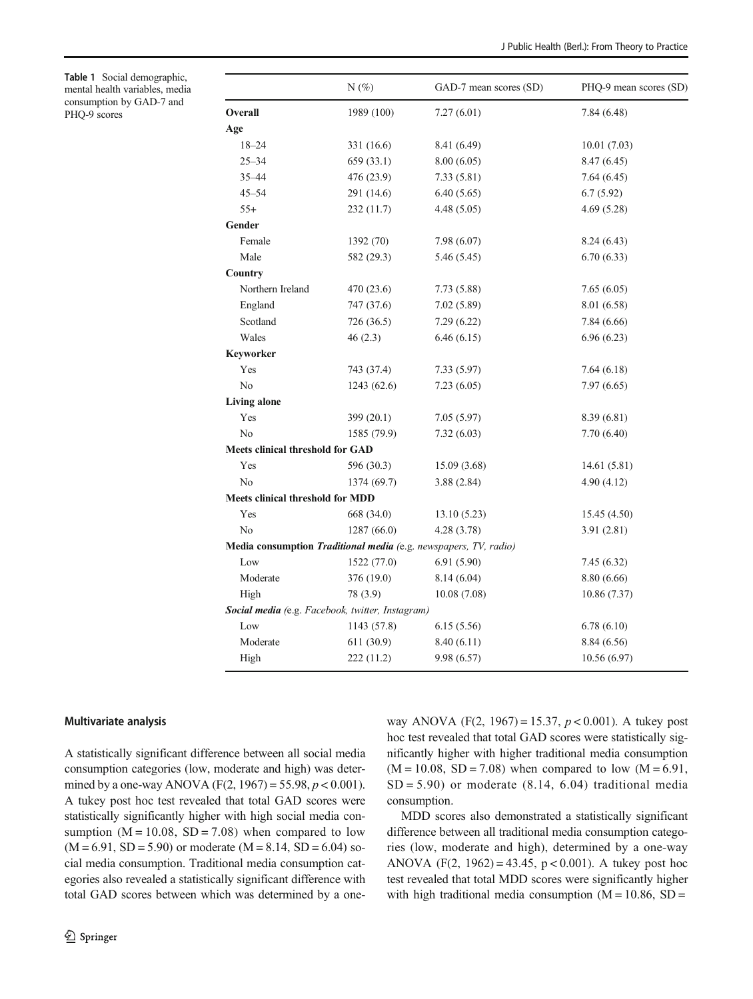<span id="page-3-0"></span>Table 1 Social demographic, mental health variables, media consumption by GAD-7 and PHQ-9 scores

|                                                                  | $N(\%)$     | GAD-7 mean scores (SD) | PHQ-9 mean scores (SD) |  |
|------------------------------------------------------------------|-------------|------------------------|------------------------|--|
| Overall                                                          | 1989 (100)  | 7.27(6.01)             | 7.84 (6.48)            |  |
| Age                                                              |             |                        |                        |  |
| $18 - 24$                                                        | 331 (16.6)  | 8.41 (6.49)            | 10.01(7.03)            |  |
| $25 - 34$                                                        | 659(33.1)   | 8.00(6.05)             | 8.47 (6.45)            |  |
| $35 - 44$                                                        | 476 (23.9)  | 7.33(5.81)             | 7.64(6.45)             |  |
| $45 - 54$                                                        | 291 (14.6)  | 6.40(5.65)             | 6.7(5.92)              |  |
| $55+$                                                            | 232 (11.7)  | 4.48(5.05)             | 4.69(5.28)             |  |
| Gender                                                           |             |                        |                        |  |
| Female                                                           | 1392 (70)   | 7.98 (6.07)            | 8.24(6.43)             |  |
| Male                                                             | 582 (29.3)  | 5.46 (5.45)            | 6.70(6.33)             |  |
| Country                                                          |             |                        |                        |  |
| Northern Ireland                                                 | 470 (23.6)  | 7.73 (5.88)            | 7.65(6.05)             |  |
| England                                                          | 747 (37.6)  | 7.02(5.89)             | 8.01 (6.58)            |  |
| Scotland                                                         | 726 (36.5)  | 7.29(6.22)             | 7.84 (6.66)            |  |
| Wales                                                            | 46(2.3)     | 6.46(6.15)             | 6.96(6.23)             |  |
| Keyworker                                                        |             |                        |                        |  |
| Yes                                                              | 743 (37.4)  | 7.33(5.97)             | 7.64(6.18)             |  |
| No                                                               | 1243(62.6)  | 7.23(6.05)             | 7.97(6.65)             |  |
| <b>Living alone</b>                                              |             |                        |                        |  |
| Yes                                                              | 399(20.1)   | 7.05(5.97)             | 8.39 (6.81)            |  |
| N <sub>0</sub>                                                   | 1585 (79.9) | 7.32(6.03)             | 7.70(6.40)             |  |
| <b>Meets clinical threshold for GAD</b>                          |             |                        |                        |  |
| Yes                                                              | 596 (30.3)  | 15.09 (3.68)           | 14.61(5.81)            |  |
| N <sub>0</sub>                                                   | 1374 (69.7) | 3.88(2.84)             | 4.90(4.12)             |  |
| <b>Meets clinical threshold for MDD</b>                          |             |                        |                        |  |
| Yes                                                              | 668 (34.0)  | 13.10(5.23)            | 15.45 (4.50)           |  |
| N <sub>0</sub>                                                   | 1287(66.0)  | 4.28 (3.78)            | 3.91(2.81)             |  |
| Media consumption Traditional media (e.g. newspapers, TV, radio) |             |                        |                        |  |
| Low                                                              | 1522 (77.0) | 6.91(5.90)             | 7.45(6.32)             |  |
| Moderate                                                         | 376 (19.0)  | 8.14(6.04)             | 8.80 (6.66)            |  |
| High                                                             | 78 (3.9)    | 10.08(7.08)            | 10.86 (7.37)           |  |
| Social media (e.g. Facebook, twitter, Instagram)                 |             |                        |                        |  |
| Low                                                              | 1143 (57.8) | 6.15(5.56)             | 6.78(6.10)             |  |
| Moderate                                                         | 611 (30.9)  | 8.40 (6.11)            | 8.84 (6.56)            |  |
| High                                                             | 222 (11.2)  | 9.98 (6.57)            | 10.56 (6.97)           |  |

#### Multivariate analysis

A statistically significant difference between all social media consumption categories (low, moderate and high) was determined by a one-way ANOVA (F(2, 1967) = 55.98,  $p < 0.001$ ). A tukey post hoc test revealed that total GAD scores were statistically significantly higher with high social media consumption  $(M = 10.08, SD = 7.08)$  when compared to low  $(M = 6.91, SD = 5.90)$  or moderate  $(M = 8.14, SD = 6.04)$  social media consumption. Traditional media consumption categories also revealed a statistically significant difference with total GAD scores between which was determined by a oneway ANOVA (F(2, 1967) = 15.37,  $p < 0.001$ ). A tukey post hoc test revealed that total GAD scores were statistically significantly higher with higher traditional media consumption  $(M = 10.08, SD = 7.08)$  when compared to low  $(M = 6.91,$  $SD = 5.90$ ) or moderate (8.14, 6.04) traditional media consumption.

MDD scores also demonstrated a statistically significant difference between all traditional media consumption categories (low, moderate and high), determined by a one-way ANOVA (F(2, 1962) = 43.45, p < 0.001). A tukey post hoc test revealed that total MDD scores were significantly higher with high traditional media consumption  $(M = 10.86, SD =$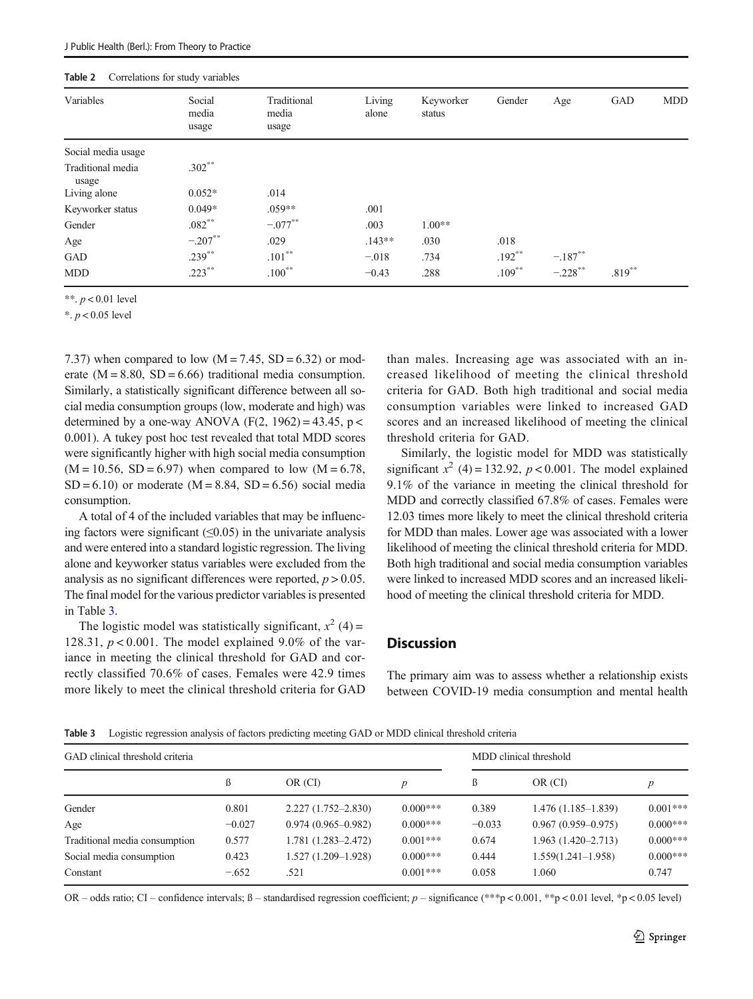<span id="page-4-0"></span>

| _________________          |                          |                               |                 |                     |           |            |           |            |
|----------------------------|--------------------------|-------------------------------|-----------------|---------------------|-----------|------------|-----------|------------|
| Variables                  | Social<br>media<br>usage | Traditional<br>media<br>usage | Living<br>alone | Keyworker<br>status | Gender    | Age        | GAD       | <b>MDD</b> |
| Social media usage         |                          |                               |                 |                     |           |            |           |            |
| Traditional media<br>usage | $.302***$                |                               |                 |                     |           |            |           |            |
| Living alone               | $0.052*$                 | .014                          |                 |                     |           |            |           |            |
| Keyworker status           | $0.049*$                 | $.059**$                      | .001            |                     |           |            |           |            |
| Gender                     | $.082***$                | $-.077***$                    | .003            | $1.00**$            |           |            |           |            |
| Age                        | $-.207**$                | .029                          | $.143**$        | .030                | .018      |            |           |            |
| GAD                        | $.239***$                | $.101***$                     | $-.018$         | .734                | $.192***$ | $-.187**$  |           |            |
| <b>MDD</b>                 | $.223***$                | $.100^{**}$                   | $-0.43$         | .288                | $.109***$ | $-.228$ ** | $.819***$ |            |

\*\*.  $p < 0.01$  level

\*.  $p < 0.05$  level

7.37) when compared to low  $(M = 7.45, SD = 6.32)$  or moderate  $(M = 8.80, SD = 6.66)$  traditional media consumption. Similarly, a statistically significant difference between all social media consumption groups (low, moderate and high) was determined by a one-way ANOVA (F(2, 1962) = 43.45,  $p <$ 0.001). A tukey post hoc test revealed that total MDD scores were significantly higher with high social media consumption  $(M = 10.56, SD = 6.97)$  when compared to low  $(M = 6.78,$  $SD = 6.10$  or moderate (M = 8.84, SD = 6.56) social media consumption.

A total of 4 of the included variables that may be influencing factors were significant  $(\leq 0.05)$  in the univariate analysis and were entered into a standard logistic regression. The living alone and keyworker status variables were excluded from the analysis as no significant differences were reported,  $p > 0.05$ . The final model for the various predictor variables is presented in Table 3.

The logistic model was statistically significant,  $x^2$  (4) = 128.31,  $p < 0.001$ . The model explained 9.0% of the variance in meeting the clinical threshold for GAD and correctly classified 70.6% of cases. Females were 42.9 times more likely to meet the clinical threshold criteria for GAD than males. Increasing age was associated with an increased likelihood of meeting the clinical threshold criteria for GAD. Both high traditional and social media consumption variables were linked to increased GAD scores and an increased likelihood of meeting the clinical threshold criteria for GAD.

Similarly, the logistic model for MDD was statistically significant  $x^2$  (4) = 132.92,  $p < 0.001$ . The model explained 9.1% of the variance in meeting the clinical threshold for MDD and correctly classified 67.8% of cases. Females were 12.03 times more likely to meet the clinical threshold criteria for MDD than males. Lower age was associated with a lower likelihood of meeting the clinical threshold criteria for MDD. Both high traditional and social media consumption variables were linked to increased MDD scores and an increased likelihood of meeting the clinical threshold criteria for MDD.

# **Discussion**

The primary aim was to assess whether a relationship exists between COVID-19 media consumption and mental health

Table 3 Logistic regression analysis of factors predicting meeting GAD or MDD clinical threshold criteria

| GAD clinical threshold criteria |          |                        |                  | MDD clinical threshold |                        |                  |  |
|---------------------------------|----------|------------------------|------------------|------------------------|------------------------|------------------|--|
|                                 | ß        | OR (CI)                | $\boldsymbol{p}$ | ß                      | OR (CI)                | $\boldsymbol{p}$ |  |
| Gender                          | 0.801    | $2.227(1.752 - 2.830)$ | $0.000***$       | 0.389                  | $1.476(1.185-1.839)$   | $0.001***$       |  |
| Age                             | $-0.027$ | $0.974(0.965 - 0.982)$ | $0.000***$       | $-0.033$               | $0.967(0.959 - 0.975)$ | $0.000***$       |  |
| Traditional media consumption   | 0.577    | $1.781(1.283 - 2.472)$ | $0.001***$       | 0.674                  | $1.963(1.420 - 2.713)$ | $0.000***$       |  |
| Social media consumption        | 0.423    | $1.527(1.209 - 1.928)$ | $0.000***$       | 0.444                  | $1.559(1.241-1.958)$   | $0.000***$       |  |
| Constant                        | $-.652$  | .521                   | $0.001***$       | 0.058                  | 1.060                  | 0.747            |  |

OR – odds ratio; CI – confidence intervals;  $\beta$  – standardised regression coefficient; p – significance (\*\*\*p < 0.001, \*\*p < 0.01 level, \*p < 0.05 level)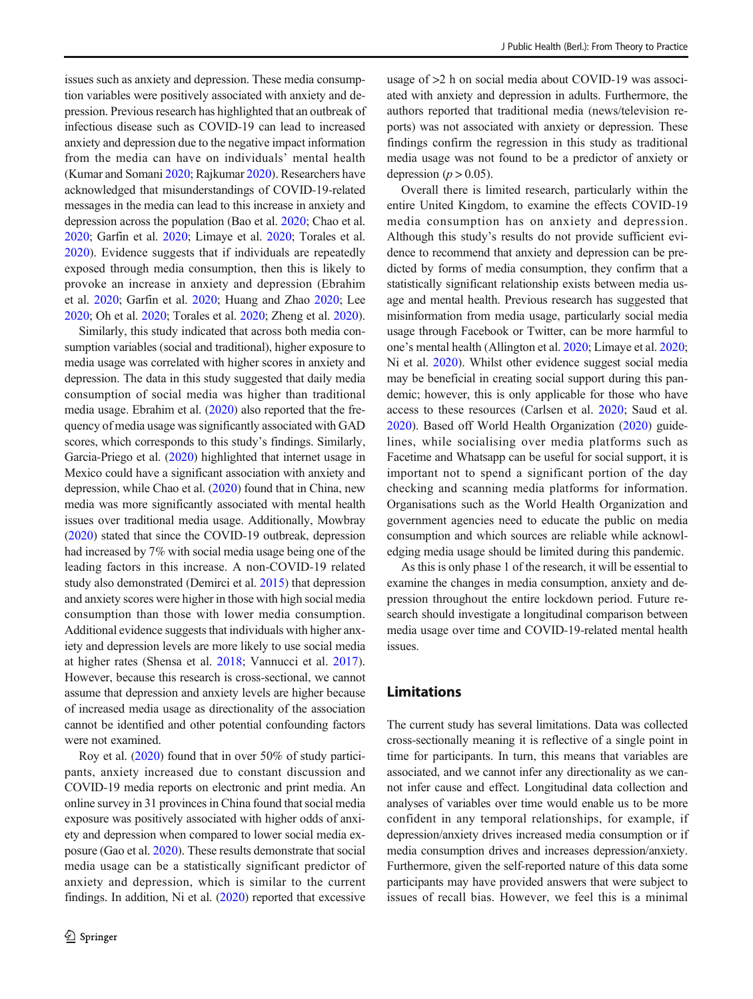issues such as anxiety and depression. These media consumption variables were positively associated with anxiety and depression. Previous research has highlighted that an outbreak of infectious disease such as COVID-19 can lead to increased anxiety and depression due to the negative impact information from the media can have on individuals' mental health (Kumar and Somani [2020](#page-7-0); Rajkumar [2020\)](#page-7-0). Researchers have acknowledged that misunderstandings of COVID-19-related messages in the media can lead to this increase in anxiety and depression across the population (Bao et al. [2020](#page-7-0); Chao et al. [2020;](#page-7-0) Garfin et al. [2020](#page-7-0); Limaye et al. [2020;](#page-7-0) Torales et al. [2020\)](#page-8-0). Evidence suggests that if individuals are repeatedly exposed through media consumption, then this is likely to provoke an increase in anxiety and depression (Ebrahim et al. [2020;](#page-7-0) Garfin et al. [2020;](#page-7-0) Huang and Zhao [2020](#page-7-0); Lee [2020;](#page-7-0) Oh et al. [2020;](#page-7-0) Torales et al. [2020;](#page-8-0) Zheng et al. [2020](#page-8-0)).

Similarly, this study indicated that across both media consumption variables (social and traditional), higher exposure to media usage was correlated with higher scores in anxiety and depression. The data in this study suggested that daily media consumption of social media was higher than traditional media usage. Ebrahim et al. [\(2020\)](#page-7-0) also reported that the frequency of media usage was significantly associated with GAD scores, which corresponds to this study's findings. Similarly, Garcia-Priego et al. ([2020](#page-7-0)) highlighted that internet usage in Mexico could have a significant association with anxiety and depression, while Chao et al. [\(2020\)](#page-7-0) found that in China, new media was more significantly associated with mental health issues over traditional media usage. Additionally, Mowbray [\(2020\)](#page-7-0) stated that since the COVID-19 outbreak, depression had increased by 7% with social media usage being one of the leading factors in this increase. A non-COVID-19 related study also demonstrated (Demirci et al. [2015](#page-7-0)) that depression and anxiety scores were higher in those with high social media consumption than those with lower media consumption. Additional evidence suggests that individuals with higher anxiety and depression levels are more likely to use social media at higher rates (Shensa et al. [2018;](#page-7-0) Vannucci et al. [2017](#page-8-0)). However, because this research is cross-sectional, we cannot assume that depression and anxiety levels are higher because of increased media usage as directionality of the association cannot be identified and other potential confounding factors were not examined.

Roy et al. ([2020](#page-7-0)) found that in over 50% of study participants, anxiety increased due to constant discussion and COVID-19 media reports on electronic and print media. An online survey in 31 provinces in China found that social media exposure was positively associated with higher odds of anxiety and depression when compared to lower social media exposure (Gao et al. [2020\)](#page-7-0). These results demonstrate that social media usage can be a statistically significant predictor of anxiety and depression, which is similar to the current findings. In addition, Ni et al.  $(2020)$  reported that excessive

usage of >2 h on social media about COVID-19 was associated with anxiety and depression in adults. Furthermore, the authors reported that traditional media (news/television reports) was not associated with anxiety or depression. These findings confirm the regression in this study as traditional media usage was not found to be a predictor of anxiety or depression ( $p > 0.05$ ).

Overall there is limited research, particularly within the entire United Kingdom, to examine the effects COVID-19 media consumption has on anxiety and depression. Although this study's results do not provide sufficient evidence to recommend that anxiety and depression can be predicted by forms of media consumption, they confirm that a statistically significant relationship exists between media usage and mental health. Previous research has suggested that misinformation from media usage, particularly social media usage through Facebook or Twitter, can be more harmful to one's mental health (Allington et al. [2020](#page-7-0); Limaye et al. [2020;](#page-7-0) Ni et al. [2020](#page-7-0)). Whilst other evidence suggest social media may be beneficial in creating social support during this pandemic; however, this is only applicable for those who have access to these resources (Carlsen et al. [2020;](#page-7-0) Saud et al. [2020\)](#page-7-0). Based off World Health Organization ([2020\)](#page-8-0) guidelines, while socialising over media platforms such as Facetime and Whatsapp can be useful for social support, it is important not to spend a significant portion of the day checking and scanning media platforms for information. Organisations such as the World Health Organization and government agencies need to educate the public on media consumption and which sources are reliable while acknowledging media usage should be limited during this pandemic.

As this is only phase 1 of the research, it will be essential to examine the changes in media consumption, anxiety and depression throughout the entire lockdown period. Future research should investigate a longitudinal comparison between media usage over time and COVID-19-related mental health issues.

## Limitations

The current study has several limitations. Data was collected cross-sectionally meaning it is reflective of a single point in time for participants. In turn, this means that variables are associated, and we cannot infer any directionality as we cannot infer cause and effect. Longitudinal data collection and analyses of variables over time would enable us to be more confident in any temporal relationships, for example, if depression/anxiety drives increased media consumption or if media consumption drives and increases depression/anxiety. Furthermore, given the self-reported nature of this data some participants may have provided answers that were subject to issues of recall bias. However, we feel this is a minimal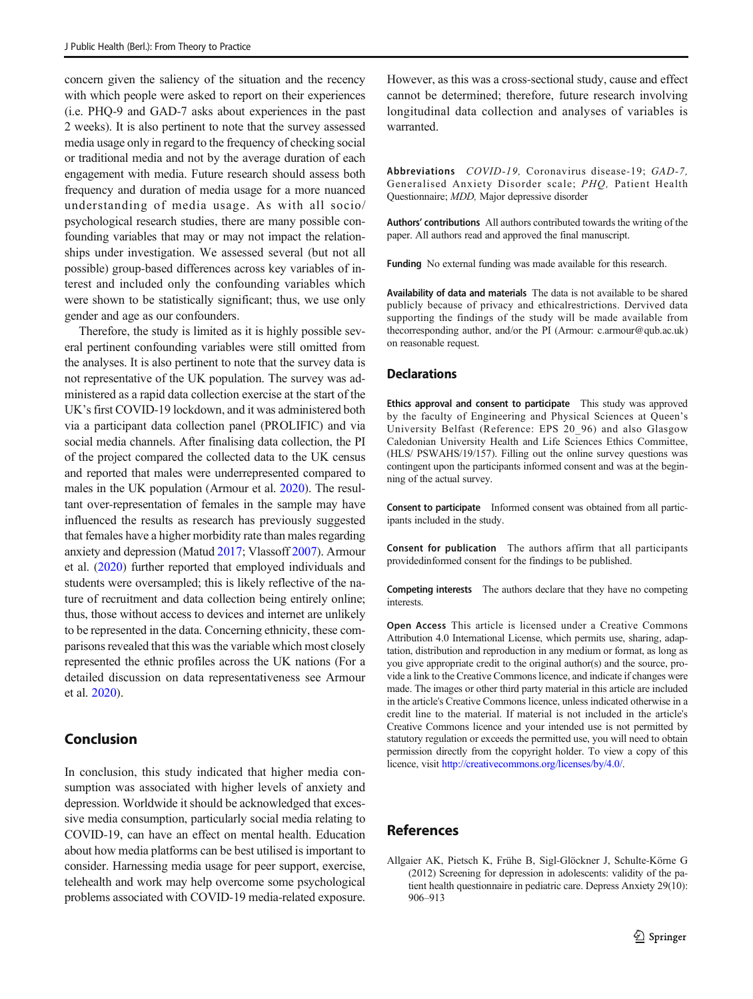<span id="page-6-0"></span>concern given the saliency of the situation and the recency with which people were asked to report on their experiences (i.e. PHQ-9 and GAD-7 asks about experiences in the past 2 weeks). It is also pertinent to note that the survey assessed media usage only in regard to the frequency of checking social or traditional media and not by the average duration of each engagement with media. Future research should assess both frequency and duration of media usage for a more nuanced understanding of media usage. As with all socio/ psychological research studies, there are many possible confounding variables that may or may not impact the relationships under investigation. We assessed several (but not all possible) group-based differences across key variables of interest and included only the confounding variables which were shown to be statistically significant; thus, we use only gender and age as our confounders.

Therefore, the study is limited as it is highly possible several pertinent confounding variables were still omitted from the analyses. It is also pertinent to note that the survey data is not representative of the UK population. The survey was administered as a rapid data collection exercise at the start of the UK's first COVID-19 lockdown, and it was administered both via a participant data collection panel (PROLIFIC) and via social media channels. After finalising data collection, the PI of the project compared the collected data to the UK census and reported that males were underrepresented compared to males in the UK population (Armour et al. [2020\)](#page-7-0). The resultant over-representation of females in the sample may have influenced the results as research has previously suggested that females have a higher morbidity rate than males regarding anxiety and depression (Matud [2017;](#page-7-0) Vlassoff [2007\)](#page-8-0). Armour et al. [\(2020\)](#page-7-0) further reported that employed individuals and students were oversampled; this is likely reflective of the nature of recruitment and data collection being entirely online; thus, those without access to devices and internet are unlikely to be represented in the data. Concerning ethnicity, these comparisons revealed that this was the variable which most closely represented the ethnic profiles across the UK nations (For a detailed discussion on data representativeness see Armour et al. [2020](#page-7-0)).

# Conclusion

In conclusion, this study indicated that higher media consumption was associated with higher levels of anxiety and depression. Worldwide it should be acknowledged that excessive media consumption, particularly social media relating to COVID-19, can have an effect on mental health. Education about how media platforms can be best utilised is important to consider. Harnessing media usage for peer support, exercise, telehealth and work may help overcome some psychological problems associated with COVID-19 media-related exposure.

However, as this was a cross-sectional study, cause and effect cannot be determined; therefore, future research involving longitudinal data collection and analyses of variables is warranted.

Abbreviations COVID-19, Coronavirus disease-19; GAD-7, Generalised Anxiety Disorder scale; PHQ, Patient Health Questionnaire; MDD, Major depressive disorder

Authors' contributions All authors contributed towards the writing of the paper. All authors read and approved the final manuscript.

Funding No external funding was made available for this research.

Availability of data and materials The data is not available to be shared publicly because of privacy and ethicalrestrictions. Dervived data supporting the findings of the study will be made available from thecorresponding author, and/or the PI (Armour: c.armour@qub.ac.uk) on reasonable request.

## **Declarations**

Ethics approval and consent to participate This study was approved by the faculty of Engineering and Physical Sciences at Queen's University Belfast (Reference: EPS 20\_96) and also Glasgow Caledonian University Health and Life Sciences Ethics Committee, (HLS/ PSWAHS/19/157). Filling out the online survey questions was contingent upon the participants informed consent and was at the beginning of the actual survey.

Consent to participate Informed consent was obtained from all participants included in the study.

Consent for publication The authors affirm that all participants providedinformed consent for the findings to be published.

Competing interests The authors declare that they have no competing interests.

Open Access This article is licensed under a Creative Commons Attribution 4.0 International License, which permits use, sharing, adaptation, distribution and reproduction in any medium or format, as long as you give appropriate credit to the original author(s) and the source, provide a link to the Creative Commons licence, and indicate if changes were made. The images or other third party material in this article are included in the article's Creative Commons licence, unless indicated otherwise in a credit line to the material. If material is not included in the article's Creative Commons licence and your intended use is not permitted by statutory regulation or exceeds the permitted use, you will need to obtain permission directly from the copyright holder. To view a copy of this licence, visit <http://creativecommons.org/licenses/by/4.0/>.

# References

Allgaier AK, Pietsch K, Frühe B, Sigl-Glöckner J, Schulte-Körne G (2012) Screening for depression in adolescents: validity of the patient health questionnaire in pediatric care. Depress Anxiety 29(10): 906–913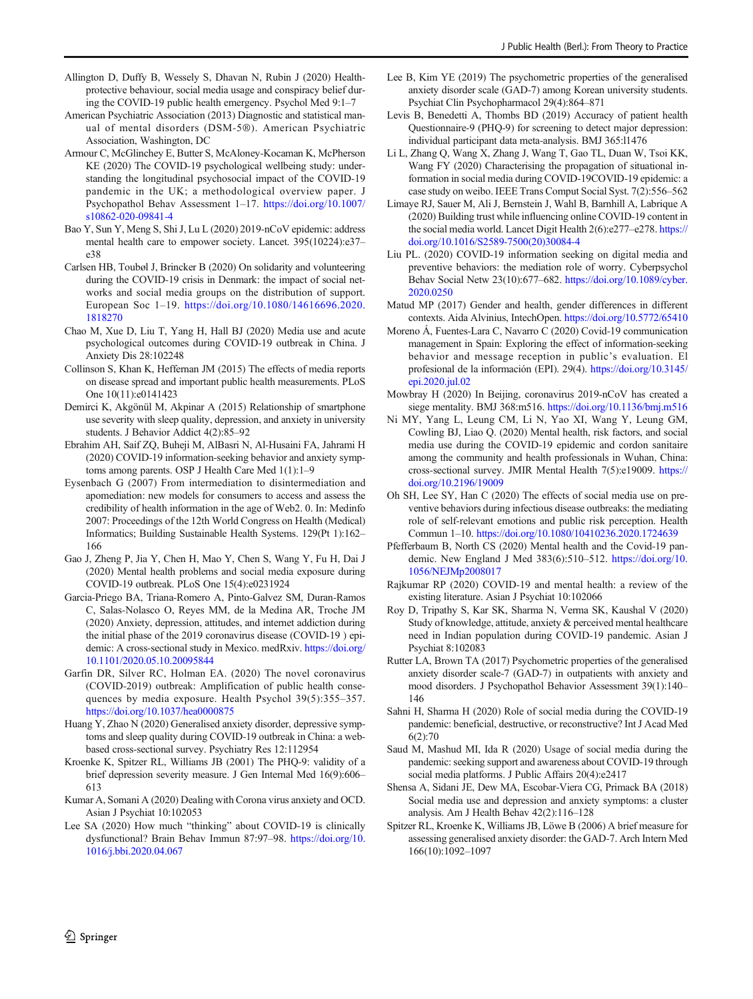- <span id="page-7-0"></span>Allington D, Duffy B, Wessely S, Dhavan N, Rubin J (2020) Healthprotective behaviour, social media usage and conspiracy belief during the COVID-19 public health emergency. Psychol Med 9:1–7
- American Psychiatric Association (2013) Diagnostic and statistical manual of mental disorders (DSM-5®). American Psychiatric Association, Washington, DC
- Armour C, McGlinchey E, Butter S, McAloney-Kocaman K, McPherson KE (2020) The COVID-19 psychological wellbeing study: understanding the longitudinal psychosocial impact of the COVID-19 pandemic in the UK; a methodological overview paper. J Psychopathol Behav Assessment 1–17. [https://doi.org/10.1007/](https://doi.org/10.1007/s10862-020-09841-4) [s10862-020-09841-4](https://doi.org/10.1007/s10862-020-09841-4)
- Bao Y, Sun Y, Meng S, Shi J, Lu L (2020) 2019-nCoV epidemic: address mental health care to empower society. Lancet. 395(10224):e37– e38
- Carlsen HB, Toubøl J, Brincker B (2020) On solidarity and volunteering during the COVID-19 crisis in Denmark: the impact of social networks and social media groups on the distribution of support. European Soc 1–19. [https://doi.org/10.1080/14616696.2020.](https://doi.org/10.1080/14616696.2020.1818270) [1818270](https://doi.org/10.1080/14616696.2020.1818270)
- Chao M, Xue D, Liu T, Yang H, Hall BJ (2020) Media use and acute psychological outcomes during COVID-19 outbreak in China. J Anxiety Dis 28:102248
- Collinson S, Khan K, Heffernan JM (2015) The effects of media reports on disease spread and important public health measurements. PLoS One 10(11):e0141423
- Demirci K, Akgönül M, Akpinar A (2015) Relationship of smartphone use severity with sleep quality, depression, and anxiety in university students. J Behavior Addict 4(2):85–92
- Ebrahim AH, Saif ZQ, Buheji M, AlBasri N, Al-Husaini FA, Jahrami H (2020) COVID-19 information-seeking behavior and anxiety symptoms among parents. OSP J Health Care Med 1(1):1–9
- Eysenbach G (2007) From intermediation to disintermediation and apomediation: new models for consumers to access and assess the credibility of health information in the age of Web2. 0. In: Medinfo 2007: Proceedings of the 12th World Congress on Health (Medical) Informatics; Building Sustainable Health Systems. 129(Pt 1):162– 166
- Gao J, Zheng P, Jia Y, Chen H, Mao Y, Chen S, Wang Y, Fu H, Dai J (2020) Mental health problems and social media exposure during COVID-19 outbreak. PLoS One 15(4):e0231924
- Garcia-Priego BA, Triana-Romero A, Pinto-Galvez SM, Duran-Ramos C, Salas-Nolasco O, Reyes MM, de la Medina AR, Troche JM (2020) Anxiety, depression, attitudes, and internet addiction during the initial phase of the 2019 coronavirus disease (COVID-19 ) epidemic: A cross-sectional study in Mexico. medRxiv. [https://doi.org/](https://doi.org/10.1101/2020.05.10.20095844) [10.1101/2020.05.10.20095844](https://doi.org/10.1101/2020.05.10.20095844)
- Garfin DR, Silver RC, Holman EA. (2020) The novel coronavirus (COVID-2019) outbreak: Amplification of public health consequences by media exposure. Health Psychol 39(5):355–357. <https://doi.org/10.1037/hea0000875>
- Huang Y, Zhao N (2020) Generalised anxiety disorder, depressive symptoms and sleep quality during COVID-19 outbreak in China: a webbased cross-sectional survey. Psychiatry Res 12:112954
- Kroenke K, Spitzer RL, Williams JB (2001) The PHQ-9: validity of a brief depression severity measure. J Gen Internal Med 16(9):606– 613
- Kumar A, Somani A (2020) Dealing with Corona virus anxiety and OCD. Asian J Psychiat 10:102053
- Lee SA (2020) How much "thinking" about COVID-19 is clinically dysfunctional? Brain Behav Immun 87:97–98. [https://doi.org/10.](https://doi.org/10.1016/j.bbi.2020.04.067) [1016/j.bbi.2020.04.067](https://doi.org/10.1016/j.bbi.2020.04.067)
- Lee B, Kim YE (2019) The psychometric properties of the generalised anxiety disorder scale (GAD-7) among Korean university students. Psychiat Clin Psychopharmacol 29(4):864–871
- Levis B, Benedetti A, Thombs BD (2019) Accuracy of patient health Questionnaire-9 (PHQ-9) for screening to detect major depression: individual participant data meta-analysis. BMJ 365:l1476
- Li L, Zhang Q, Wang X, Zhang J, Wang T, Gao TL, Duan W, Tsoi KK, Wang FY (2020) Characterising the propagation of situational information in social media during COVID-19COVID-19 epidemic: a case study on weibo. IEEE Trans Comput Social Syst. 7(2):556–562
- Limaye RJ, Sauer M, Ali J, Bernstein J, Wahl B, Barnhill A, Labrique A (2020) Building trust while influencing online COVID-19 content in the social media world. Lancet Digit Health 2(6):e277–e278. [https://](https://doi.org/10.1016/S2589-7500(20)30084-4) [doi.org/10.1016/S2589-7500\(20\)30084-4](https://doi.org/10.1016/S2589-7500(20)30084-4)
- Liu PL. (2020) COVID-19 information seeking on digital media and preventive behaviors: the mediation role of worry. Cyberpsychol Behav Social Netw 23(10):677–682. [https://doi.org/10.1089/cyber.](https://doi.org/10.1089/cyber.2020.0250) [2020.0250](https://doi.org/10.1089/cyber.2020.0250)
- Matud MP (2017) Gender and health, gender differences in different contexts. Aida Alvinius, IntechOpen. <https://doi.org/10.5772/65410>
- Moreno Á, Fuentes-Lara C, Navarro C (2020) Covid-19 communication management in Spain: Exploring the effect of information-seeking behavior and message reception in public's evaluation. El profesional de la información (EPI). 29(4). [https://doi.org/10.3145/](https://doi.org/10.3145/epi.2020.jul.02) [epi.2020.jul.02](https://doi.org/10.3145/epi.2020.jul.02)
- Mowbray H (2020) In Beijing, coronavirus 2019-nCoV has created a siege mentality. BMJ 368:m516. <https://doi.org/10.1136/bmj.m516>
- Ni MY, Yang L, Leung CM, Li N, Yao XI, Wang Y, Leung GM, Cowling BJ, Liao Q. (2020) Mental health, risk factors, and social media use during the COVID-19 epidemic and cordon sanitaire among the community and health professionals in Wuhan, China: cross-sectional survey. JMIR Mental Health 7(5):e19009. [https://](https://doi.org/10.2196/19009) [doi.org/10.2196/19009](https://doi.org/10.2196/19009)
- Oh SH, Lee SY, Han C (2020) The effects of social media use on preventive behaviors during infectious disease outbreaks: the mediating role of self-relevant emotions and public risk perception. Health Commun 1–10. <https://doi.org/10.1080/10410236.2020.1724639>
- Pfefferbaum B, North CS (2020) Mental health and the Covid-19 pandemic. New England J Med 383(6):510–512. [https://doi.org/10.](https://doi.org/10.1056/NEJMp2008017) [1056/NEJMp2008017](https://doi.org/10.1056/NEJMp2008017)
- Rajkumar RP (2020) COVID-19 and mental health: a review of the existing literature. Asian J Psychiat 10:102066
- Roy D, Tripathy S, Kar SK, Sharma N, Verma SK, Kaushal V (2020) Study of knowledge, attitude, anxiety & perceived mental healthcare need in Indian population during COVID-19 pandemic. Asian J Psychiat 8:102083
- Rutter LA, Brown TA (2017) Psychometric properties of the generalised anxiety disorder scale-7 (GAD-7) in outpatients with anxiety and mood disorders. J Psychopathol Behavior Assessment 39(1):140– 146
- Sahni H, Sharma H (2020) Role of social media during the COVID-19 pandemic: beneficial, destructive, or reconstructive? Int J Acad Med 6(2):70
- Saud M, Mashud MI, Ida R (2020) Usage of social media during the pandemic: seeking support and awareness about COVID-19 through social media platforms. J Public Affairs 20(4):e2417
- Shensa A, Sidani JE, Dew MA, Escobar-Viera CG, Primack BA (2018) Social media use and depression and anxiety symptoms: a cluster analysis. Am J Health Behav 42(2):116–128
- Spitzer RL, Kroenke K, Williams JB, Löwe B (2006) A brief measure for assessing generalised anxiety disorder: the GAD-7. Arch Intern Med 166(10):1092–1097